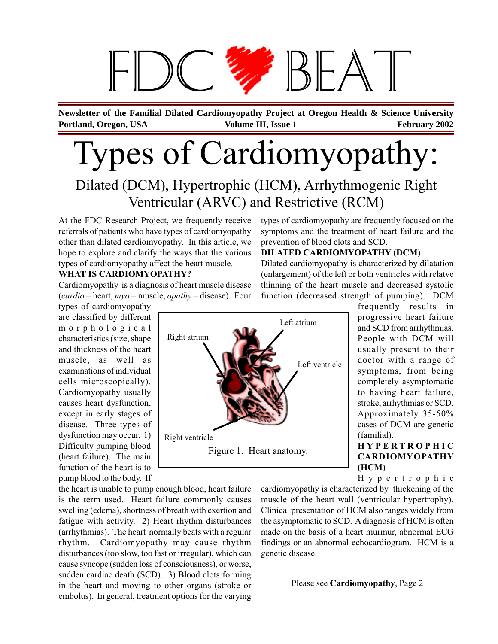# $B+A$

**Portland, Oregon, USA February 2002 Volume III, Issue 1 February 2002 Newsletter of the Familial Dilated Cardiomyopathy Project at Oregon Health & Science University**

# Types of Cardiomyopathy:

### Dilated (DCM), Hypertrophic (HCM), Arrhythmogenic Right Ventricular (ARVC) and Restrictive (RCM)

At the FDC Research Project, we frequently receive referrals of patients who have types of cardiomyopathy other than dilated cardiomyopathy. In this article, we hope to explore and clarify the ways that the various types of cardiomyopathy affect the heart muscle.

#### **WHAT IS CARDIOMYOPATHY?**

Cardiomyopathy is a diagnosis of heart muscle disease (*cardio* = heart, *myo* = muscle, *opathy* = disease). Four

types of cardiomyopathy are classified by different morphological characteristics (size, shape and thickness of the heart muscle, as well as examinations of individual cells microscopically). Cardiomyopathy usually causes heart dysfunction, except in early stages of disease. Three types of dysfunction may occur. 1) Difficulty pumping blood (heart failure). The main function of the heart is to pump blood to the body. If

Figure 1. Heart anatomy. Right atrium Left ventricle Left atrium Right ventricle

types of cardiomyopathy are frequently focused on the symptoms and the treatment of heart failure and the prevention of blood clots and SCD.

#### **DILATED CARDIOMYOPATHY (DCM)**

Dilated cardiomyopathy is characterized by dilatation (enlargement) of the left or both ventricles with relatve thinning of the heart muscle and decreased systolic function (decreased strength of pumping). DCM

frequently results in progressive heart failure and SCD from arrhythmias. People with DCM will usually present to their doctor with a range of symptoms, from being completely asymptomatic to having heart failure, stroke, arrhythmias or SCD. Approximately 35-50% cases of DCM are genetic (familial).

#### **HYPERTROPHIC CARDIOMYOPATHY (HCM)**

Hypertrophic

the heart is unable to pump enough blood, heart failure is the term used. Heart failure commonly causes swelling (edema), shortness of breath with exertion and fatigue with activity. 2) Heart rhythm disturbances (arrhythmias). The heart normally beats with a regular rhythm. Cardiomyopathy may cause rhythm disturbances (too slow, too fast or irregular), which can cause syncope (sudden loss of consciousness), or worse, sudden cardiac death (SCD). 3) Blood clots forming in the heart and moving to other organs (stroke or embolus). In general, treatment options for the varying cardiomyopathy is characterized by thickening of the muscle of the heart wall (ventricular hypertrophy). Clinical presentation of HCM also ranges widely from the asymptomatic to SCD. A diagnosis of HCM is often made on the basis of a heart murmur, abnormal ECG findings or an abnormal echocardiogram. HCM is a genetic disease.

Please see **Cardiomyopathy**, Page 2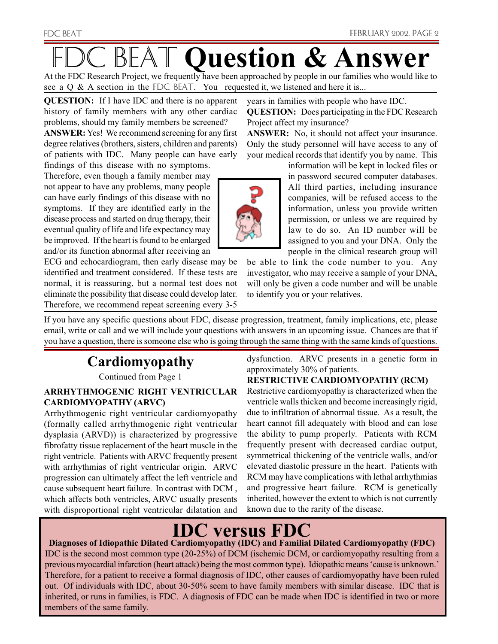At the FDC Research Project, we frequently have been approached by people in our families who would like to see a Q & A section in the FDC BEAT. You requested it, we listened and here it is...

**QUESTION:** If I have IDC and there is no apparent history of family members with any other cardiac problems, should my family members be screened?

**ANSWER:** Yes! We recommend screening for any first degree relatives (brothers, sisters, children and parents) of patients with IDC. Many people can have early

findings of this disease with no symptoms. Therefore, even though a family member may not appear to have any problems, many people can have early findings of this disease with no symptoms. If they are identified early in the disease process and started on drug therapy, their eventual quality of life and life expectancy may be improved. If the heart is found to be enlarged and/or its function abnormal after receiving an

ECG and echocardiogram, then early disease may be identified and treatment considered. If these tests are normal, it is reassuring, but a normal test does not eliminate the possibility that disease could develop later. Therefore, we recommend repeat screening every 3-5 years in families with people who have IDC.

**QUESTION:** Does participating in the FDC Research Project affect my insurance?

**ANSWER:** No, it should not affect your insurance. Only the study personnel will have access to any of your medical records that identify you by name. This

> information will be kept in locked files or in password secured computer databases. All third parties, including insurance companies, will be refused access to the information, unless you provide written permission, or unless we are required by law to do so. An ID number will be assigned to you and your DNA. Only the people in the clinical research group will

be able to link the code number to you. Any investigator, who may receive a sample of your DNA, will only be given a code number and will be unable to identify you or your relatives.

If you have any specific questions about FDC, disease progression, treatment, family implications, etc, please email, write or call and we will include your questions with answers in an upcoming issue. Chances are that if you have a question, there is someone else who is going through the same thing with the same kinds of questions.

### **Cardiomyopathy**

Continued from Page 1

#### **ARRHYTHMOGENIC RIGHT VENTRICULAR CARDIOMYOPATHY (ARVC)**

Arrhythmogenic right ventricular cardiomyopathy (formally called arrhythmogenic right ventricular dysplasia (ARVD)) is characterized by progressive fibrofatty tissue replacement of the heart muscle in the right ventricle. Patients with ARVC frequently present with arrhythmias of right ventricular origin. ARVC progression can ultimately affect the left ventricle and cause subsequent heart failure. In contrast with DCM , which affects both ventricles, ARVC usually presents with disproportional right ventricular dilatation and

dysfunction. ARVC presents in a genetic form in approximately 30% of patients.

#### **RESTRICTIVE CARDIOMYOPATHY (RCM)**

Restrictive cardiomyopathy is characterized when the ventricle walls thicken and become increasingly rigid, due to infiltration of abnormal tissue. As a result, the heart cannot fill adequately with blood and can lose the ability to pump properly. Patients with RCM frequently present with decreased cardiac output, symmetrical thickening of the ventricle walls, and/or elevated diastolic pressure in the heart. Patients with RCM may have complications with lethal arrhythmias and progressive heart failure. RCM is genetically inherited, however the extent to which is not currently known due to the rarity of the disease.

# **IDC versus FDC**

**Diagnoses of Idiopathic Dilated Cardiomyopathy (IDC) and Familial Dilated Cardiomyopathy (FDC)** IDC is the second most common type (20-25%) of DCM (ischemic DCM, or cardiomyopathy resulting from a previous myocardial infarction (heart attack) being the most common type). Idiopathic means 'cause is unknown.' Therefore, for a patient to receive a formal diagnosis of IDC, other causes of cardiomyopathy have been ruled out. Of individuals with IDC, about 30-50% seem to have family members with similar disease. IDC that is inherited, or runs in families, is FDC. A diagnosis of FDC can be made when IDC is identified in two or more members of the same family.

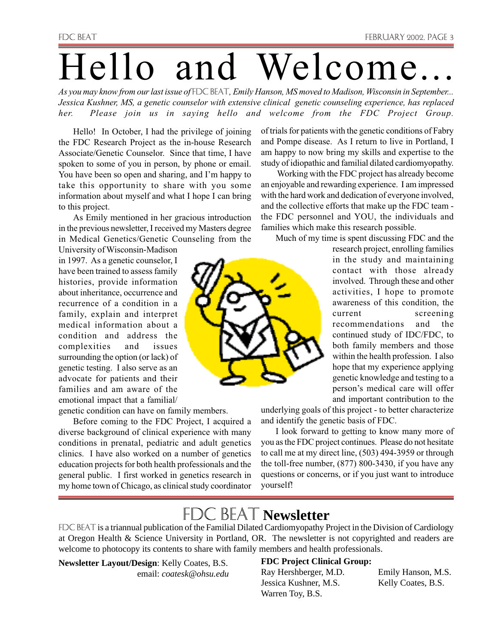# Hello and Welcome.

*As you may know from our last issue of* FDC BEAT*, Emily Hanson, MS moved to Madison, Wisconsin in September... Jessica Kushner, MS, a genetic counselor with extensive clinical genetic counseling experience, has replaced her. Please join us in saying hello and welcome from the FDC Project Group.*

Hello! In October, I had the privilege of joining the FDC Research Project as the in-house Research Associate/Genetic Counselor. Since that time, I have spoken to some of you in person, by phone or email. You have been so open and sharing, and I'm happy to take this opportunity to share with you some information about myself and what I hope I can bring to this project.

As Emily mentioned in her gracious introduction in the previous newsletter, I received my Masters degree in Medical Genetics/Genetic Counseling from the

University of Wisconsin-Madison in 1997. As a genetic counselor, I have been trained to assess family histories, provide information about inheritance, occurrence and recurrence of a condition in a family, explain and interpret medical information about a condition and address the complexities and issues surrounding the option (or lack) of genetic testing. I also serve as an advocate for patients and their families and am aware of the emotional impact that a familial/

genetic condition can have on family members.

Before coming to the FDC Project, I acquired a diverse background of clinical experience with many conditions in prenatal, pediatric and adult genetics clinics. I have also worked on a number of genetics education projects for both health professionals and the general public. I first worked in genetics research in my home town of Chicago, as clinical study coordinator

of trials for patients with the genetic conditions of Fabry and Pompe disease. As I return to live in Portland, I am happy to now bring my skills and expertise to the study of idiopathic and familial dilated cardiomyopathy.

 Working with the FDC project has already become an enjoyable and rewarding experience. I am impressed with the hard work and dedication of everyone involved, and the collective efforts that make up the FDC team the FDC personnel and YOU, the individuals and families which make this research possible.

Much of my time is spent discussing FDC and the

research project, enrolling families in the study and maintaining contact with those already involved. Through these and other activities, I hope to promote awareness of this condition, the current screening recommendations and the continued study of IDC/FDC, to both family members and those within the health profession. I also hope that my experience applying genetic knowledge and testing to a person's medical care will offer and important contribution to the

underlying goals of this project - to better characterize and identify the genetic basis of FDC.

I look forward to getting to know many more of you as the FDC project continues. Please do not hesitate to call me at my direct line, (503) 494-3959 or through the toll-free number, (877) 800-3430, if you have any questions or concerns, or if you just want to introduce yourself!

## **FDC BEAT Newsletter**

FDC BEAT is a triannual publication of the Familial Dilated Cardiomyopathy Project in the Division of Cardiology at Oregon Health & Science University in Portland, OR. The newsletter is not copyrighted and readers are welcome to photocopy its contents to share with family members and health professionals.

**Newsletter Layout/Design**: Kelly Coates, B.S. email: *coatesk@ohsu.edu*

#### **FDC Project Clinical Group:**

Ray Hershberger, M.D. Emily Hanson, M.S. Jessica Kushner, M.S. Kelly Coates, B.S. Warren Toy, B.S.